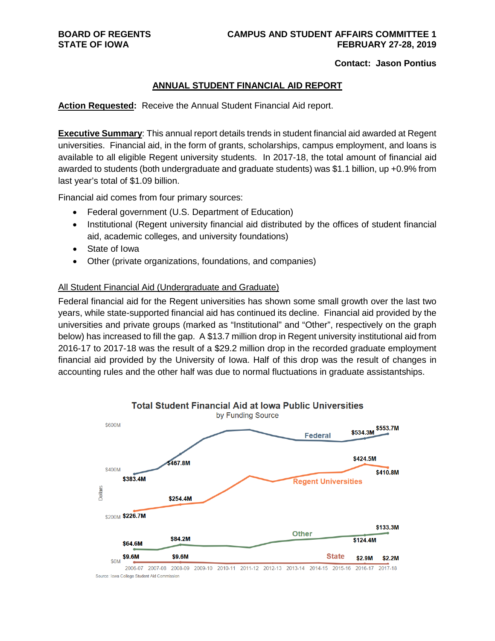#### **Contact: Jason Pontius**

#### **ANNUAL STUDENT FINANCIAL AID REPORT**

**Action Requested:** Receive the Annual Student Financial Aid report.

**Executive Summary**: This annual report details trends in student financial aid awarded at Regent universities. Financial aid, in the form of grants, scholarships, campus employment, and loans is available to all eligible Regent university students. In 2017-18, the total amount of financial aid awarded to students (both undergraduate and graduate students) was \$1.1 billion, up +0.9% from last year's total of \$1.09 billion.

Financial aid comes from four primary sources:

- Federal government (U.S. Department of Education)
- Institutional (Regent university financial aid distributed by the offices of student financial aid, academic colleges, and university foundations)
- State of Iowa
- Other (private organizations, foundations, and companies)

#### All Student Financial Aid (Undergraduate and Graduate)

Federal financial aid for the Regent universities has shown some small growth over the last two years, while state-supported financial aid has continued its decline. Financial aid provided by the universities and private groups (marked as "Institutional" and "Other", respectively on the graph below) has increased to fill the gap. A \$13.7 million drop in Regent university institutional aid from 2016-17 to 2017-18 was the result of a \$29.2 million drop in the recorded graduate employment financial aid provided by the University of Iowa. Half of this drop was the result of changes in accounting rules and the other half was due to normal fluctuations in graduate assistantships.



Source: Iowa College Student Aid Commission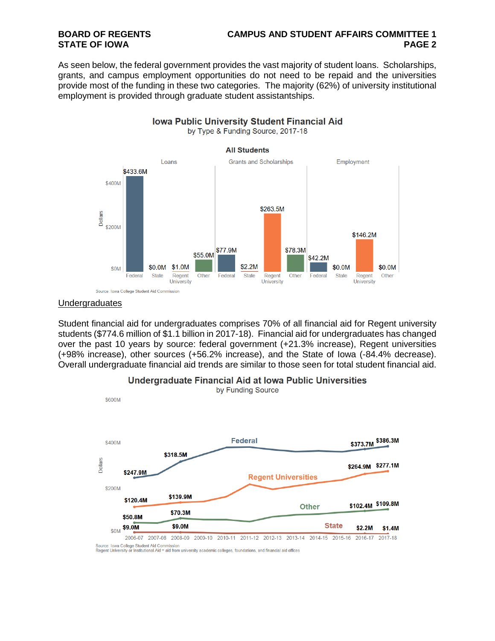# **BOARD OF REGENTS CAMPUS AND STUDENT AFFAIRS COMMITTEE 1**

As seen below, the federal government provides the vast majority of student loans. Scholarships, grants, and campus employment opportunities do not need to be repaid and the universities provide most of the funding in these two categories. The majority (62%) of university institutional employment is provided through graduate student assistantships.



#### **Undergraduates**

Student financial aid for undergraduates comprises 70% of all financial aid for Regent university students (\$774.6 million of \$1.1 billion in 2017-18). Financial aid for undergraduates has changed over the past 10 years by source: federal government (+21.3% increase), Regent universities (+98% increase), other sources (+56.2% increase), and the State of Iowa (-84.4% decrease). Overall undergraduate financial aid trends are similar to those seen for total student financial aid.



### Undergraduate Financial Aid at Iowa Public Universities

Regent University or Institutional Aid = aid from university academic colleges, foundations, and financial aid offices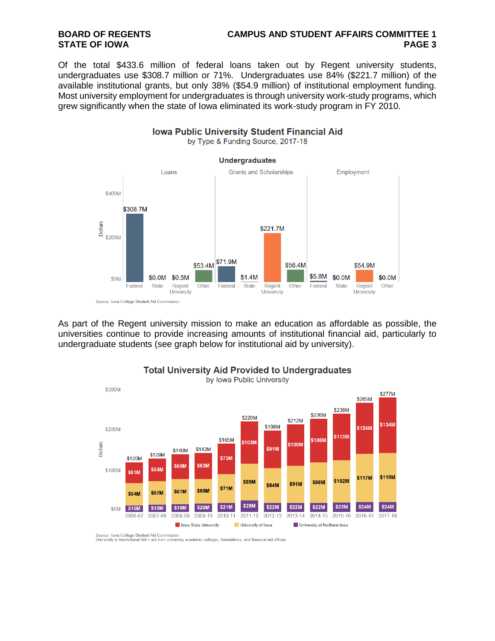# **BOARD OF REGENTS CAMPUS AND STUDENT AFFAIRS COMMITTEE 1**

Of the total \$433.6 million of federal loans taken out by Regent university students, undergraduates use \$308.7 million or 71%. Undergraduates use 84% (\$221.7 million) of the available institutional grants, but only 38% (\$54.9 million) of institutional employment funding. Most university employment for undergraduates is through university work-study programs, which grew significantly when the state of Iowa eliminated its work-study program in FY 2010.



As part of the Regent university mission to make an education as affordable as possible, the universities continue to provide increasing amounts of institutional financial aid, particularly to undergraduate students (see graph below for institutional aid by university).



**Total University Aid Provided to Undergraduates** 

Source: Iowa College Student Aid Commission<br>University or Institutional Aid = aid from university academic colleges, foundations, and financial aid offices

**Iowa Public University Student Financial Aid**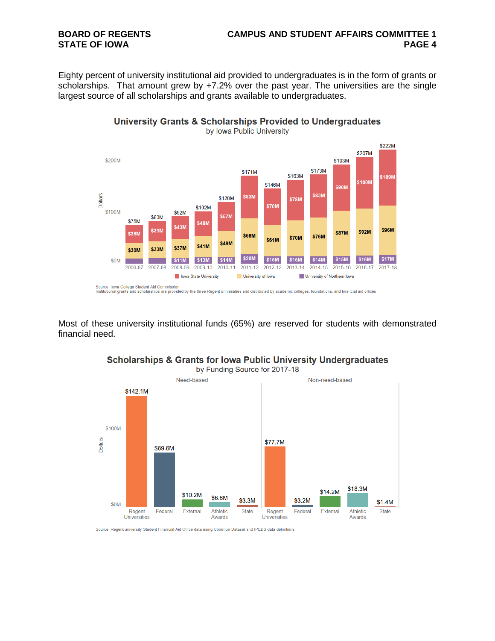## **BOARD OF REGENTS CAMPUS AND STUDENT AFFAIRS COMMITTEE 1**

Eighty percent of university institutional aid provided to undergraduates is in the form of grants or scholarships. That amount grew by +7.2% over the past year. The universities are the single largest source of all scholarships and grants available to undergraduates.



University Grants & Scholarships Provided to Undergraduates

Source: lowa College Student Aid Commission<br>Institutional grants and scholarships are provided by the three Regent universities and distributed by academic colleges, foundations, and financial aid offices

Most of these university institutional funds (65%) are reserved for students with demonstrated financial need.



### **Scholarships & Grants for Iowa Public University Undergraduates**

Source: Regent university Student Financial Aid Office data using Common Dataset and IPEDS data definitions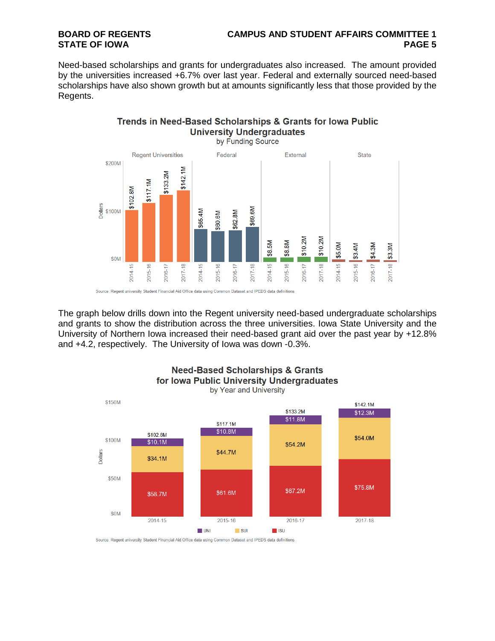# **BOARD OF REGENTS CAMPUS AND STUDENT AFFAIRS COMMITTEE 1**

Need-based scholarships and grants for undergraduates also increased. The amount provided by the universities increased +6.7% over last year. Federal and externally sourced need-based scholarships have also shown growth but at amounts significantly less that those provided by the Regents.

### Trends in Need-Based Scholarships & Grants for lowa Public **University Undergraduates**



The graph below drills down into the Regent university need-based undergraduate scholarships and grants to show the distribution across the three universities. Iowa State University and the University of Northern Iowa increased their need-based grant aid over the past year by +12.8% and +4.2, respectively. The University of Iowa was down -0.3%.



**Need-Based Scholarships & Grants** for Iowa Public University Undergraduates

Source: Regent university Student Financial Aid Office data using Common Dataset and IPEDS data definitions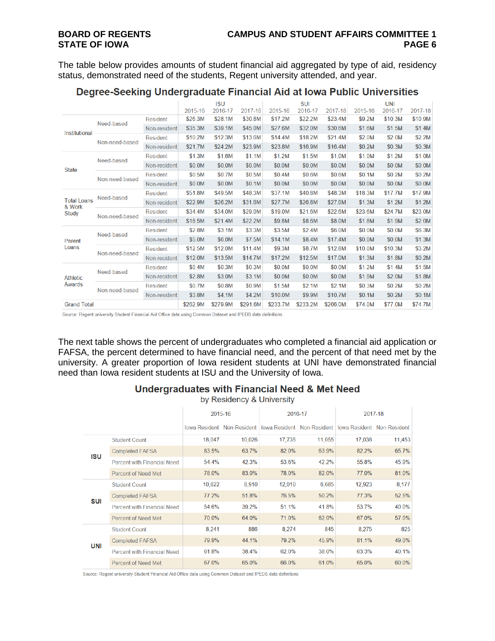The table below provides amounts of student financial aid aggregated by type of aid, residency status, demonstrated need of the students, Regent university attended, and year.

|                                       |                |                 |          | <b>ISU</b> |          |          | <b>SUI</b> |         |         | <b>UNI</b> |         |
|---------------------------------------|----------------|-----------------|----------|------------|----------|----------|------------|---------|---------|------------|---------|
|                                       |                |                 | 2015-16  | 2016-17    | 2017-18  | 2015-16  | 2016-17    | 2017-18 | 2015-16 | 2016-17    | 2017-18 |
| <b>Institutional</b>                  | Need-based     | Resident        | \$26.3M  | \$28.1M    | \$30.8M  | \$17.2M  | \$22.2M    | \$23.4M | \$9.2M  | \$10.3M    | \$10.9M |
|                                       |                | Non-resident    | \$35.3M  | \$39.1M    | \$45.0M  | \$27.6M  | \$32.0M    | \$30.6M | \$1.6M  | \$1.5M     | \$1.4M  |
|                                       | Non-need-based | Resident        | \$10.2M  | \$12.3M    | \$13.6M  | \$14.4M  | \$18.2M    | \$21.4M | \$2.0M  | \$2.0M     | \$2.2M  |
|                                       |                | Non-resident    | \$21.7M  | \$24.2M    | \$23.9M  | \$23.8M  | \$16.9M    | \$16.4M | \$0.2M  | \$0.3M     | \$0.3M  |
| <b>State</b>                          | Need-based     | <b>Resident</b> | \$1.3M   | \$1.6M     | \$1.1M   | \$1.2M   | \$1.5M     | \$1.0M  | \$1.0M  | \$1.2M     | \$1.0M  |
|                                       |                | Non-resident    | \$0.0M   | \$0.0M     | \$0.0M   | \$0.0M   | \$0.0M     | \$0.0M  | \$0.0M  | \$0.0M     | \$0.0M  |
|                                       | Non-need-based | <b>Resident</b> | \$0.5M   | \$0.7M     | \$0.5M   | \$0.4M   | \$0.6M     | \$0.6M  | \$0.1M  | \$0.2M     | \$0.2M  |
|                                       |                | Non-resident    | \$0.0M   | \$0.0M     | \$0.1M   | \$0.0M   | \$0.0M     | \$0.0M  | \$0.0M  | \$0.0M     | \$0.0M  |
| <b>Total Loans</b><br>& Work<br>Study | Need-based     | <b>Resident</b> | \$51.8M  | \$49.5M    | \$48.3M  | \$37.1M  | \$40.8M    | \$48.3M | \$18.3M | \$17.7M    | \$17.9M |
|                                       |                | Non-resident    | \$22.9M  | \$26.2M    | \$31.6M  | \$27.7M  | \$26.8M    | \$27.6M | \$1.3M  | \$1.2M     | \$1.2M  |
|                                       | Non-need-based | Resident        | \$34.4M  | \$34.0M    | \$29.0M  | \$19.0M  | \$21.6M    | \$22.6M | \$23.6M | \$24.7M    | \$23.0M |
|                                       |                | Non-resident    | \$18.5M  | \$21.4M    | \$22.2M  | \$9.8M   | \$8.6M     | \$8.0M  | \$1.8M  | \$1.9M     | \$2.0M  |
|                                       | Need-based     | <b>Resident</b> | \$2.8M   | \$3.1M     | \$3.3M   | \$3.5M   | \$2.4M     | \$6.0M  | \$0.0M  | \$0.0M     | \$6.3M  |
| Parent                                |                | Non-resident    | \$5.0M   | \$6.0M     | \$7.5M   | \$14.1M  | \$8.4M     | \$17.4M | \$0.0M  | \$0.0M     | \$1.3M  |
| Loans                                 | Non-need-based | Resident        | \$12.5M  | \$12.0M    | \$11.4M  | \$9.3M   | \$8.7M     | \$12.8M | \$10.0M | \$10.3M    | \$3.2M  |
|                                       |                | Non-resident    | \$12.0M  | \$13.5M    | \$14.7M  | \$17.2M  | \$12.5M    | \$17.0M | \$1.3M  | \$1.8M     | \$0.2M  |
| <b>Athletic</b><br>Awards             | Need-based     | Resident        | \$0.4M   | \$0.3M     | \$0.3M   | \$0.0M   | \$0.0M     | \$0.0M  | \$1.2M  | \$1.4M     | \$1.5M  |
|                                       |                | Non-resident    | \$2.8M   | \$3.0M     | \$3.1M   | \$0.0M   | \$0.0M     | \$0.0M  | \$1.9M  | \$2.0M     | \$1.8M  |
|                                       | Non-need-based | Resident        | \$0.7M   | \$0.8M     | \$0.9M   | \$1.5M   | \$2.1M     | \$2.1M  | \$0.3M  | \$0.2M     | \$0.2M  |
|                                       |                | Non-resident    | \$3.8M   | \$4.1M     | \$4.2M   | \$10.0M  | \$9.9M     | \$10.7M | \$0.1M  | \$0.2M     | \$0.1M  |
| <b>Grand Total</b>                    |                | \$262.9M        | \$279.9M | \$291.6M   | \$233.7M | \$233.2M | \$266.0M   | \$74.0M | \$77.0M | \$74.7M    |         |

### Degree-Seeking Undergraduate Financial Aid at Iowa Public Universities

Source: Regent university Student Financial Aid Office data using Common Dataset and IPEDS data definitions.

The next table shows the percent of undergraduates who completed a financial aid application or FAFSA, the percent determined to have financial need, and the percent of that need met by the university. A greater proportion of Iowa resident students at UNI have demonstrated financial need than Iowa resident students at ISU and the University of Iowa.

### **Undergraduates with Financial Need & Met Need**

by Residency & University

|            |                                    | 2015-16 |                            | 2016-17 |                            | 2017-18                           |        |  |
|------------|------------------------------------|---------|----------------------------|---------|----------------------------|-----------------------------------|--------|--|
|            |                                    |         | lowa Resident Non-Resident |         | lowa Resident Non-Resident | <b>Iowa Resident Non-Resident</b> |        |  |
| <b>ISU</b> | <b>Student Count</b>               | 18,047  | 10,026                     | 17,735  | 11,055                     | 17,038                            | 11,453 |  |
|            | <b>Completed FAFSA</b>             | 83.5%   | 63.7%                      | 82.0%   | 63.9%                      | 82.2%                             | 65.7%  |  |
|            | <b>Percent with Financial Need</b> | 54.4%   | 42.3%                      | 53.6%   | 42.2%                      | 55.8%                             | 45.9%  |  |
|            | Percent of Need Met                | 78.0%   | 83.0%                      | 78.0%   | 82.0%                      | 77.0%                             | 81.0%  |  |
| SUI        | <b>Student Count</b>               | 10,822  | 8,910                      | 12,010  | 8,685                      | 12,923                            | 8,177  |  |
|            | <b>Completed FAFSA</b>             | 77.2%   | 51.8%                      | 76.5%   | 50.2%                      | 77.3%                             | 52.5%  |  |
|            | <b>Percent with Financial Need</b> | 54.6%   | 39.2%                      | 51.1%   | 41.8%                      | 53.7%                             | 40.0%  |  |
|            | <b>Percent of Need Met</b>         | 70.0%   | 64.0%                      | 71.0%   | 62.0%                      | 67.0%                             | 57.0%  |  |
| UNI        | <b>Student Count</b>               | 8,241   | 886                        | 8,274   | 845                        | 8,275                             | 825    |  |
|            | <b>Completed FAFSA</b>             | 79.9%   | 44.1%                      | 79.2%   | 45.9%                      | 81.1%                             | 49.0%  |  |
|            | <b>Percent with Financial Need</b> | 61.8%   | 38.4%                      | 62.0%   | 38.0%                      | 63.3%                             | 40.1%  |  |
|            | <b>Percent of Need Met</b>         | 67.0%   | 65.0%                      | 66.0%   | 61.0%                      | 65.0%                             | 60.0%  |  |

Source: Regent university Student Financial Aid Office data using Common Dataset and IPEDS data definitions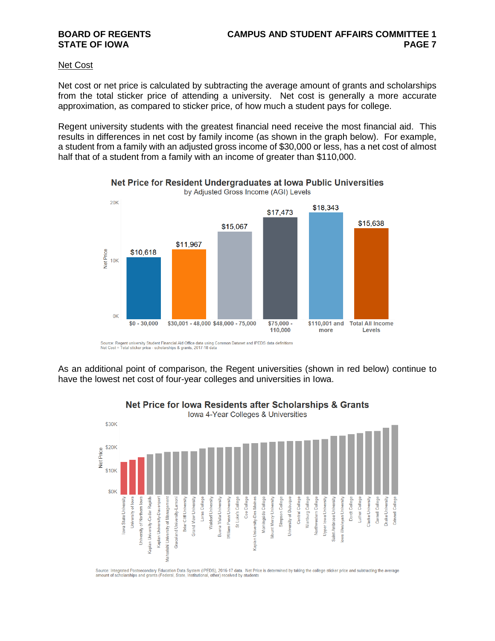#### Net Cost

Net cost or net price is calculated by subtracting the average amount of grants and scholarships from the total sticker price of attending a university. Net cost is generally a more accurate approximation, as compared to sticker price, of how much a student pays for college.

Regent university students with the greatest financial need receive the most financial aid. This results in differences in net cost by family income (as shown in the graph below). For example, a student from a family with an adjusted gross income of \$30,000 or less, has a net cost of almost half that of a student from a family with an income of greater than \$110,000.



#### Net Price for Resident Undergraduates at Iowa Public Universities by Adjusted Gross Income (AGI) Levels

Source: Regent university Student Financial Aid Office data using Common Dataset and IPEDS data definitions<br>Net Cost = Total sticker price - scholarships & grants, 2017-18 data

As an additional point of comparison, the Regent universities (shown in red below) continue to have the lowest net cost of four-year colleges and universities in Iowa.



Net Price for lowa Residents after Scholarships & Grants

Source: Integrated Postsecondary Education Data System (IPEDS), 2016-17 data. Net Price is determined by taking the college sticker price and subtracting the average<br>amount of scholarships and grants (Federal, State, Insti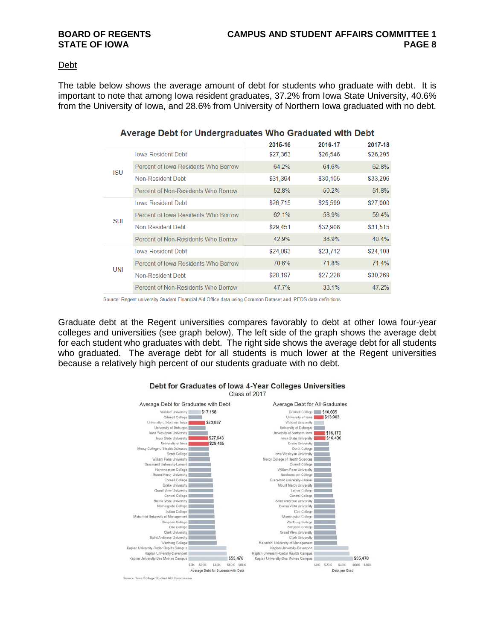#### Debt

The table below shows the average amount of debt for students who graduate with debt. It is important to note that among Iowa resident graduates, 37.2% from Iowa State University, 40.6% from the University of Iowa, and 28.6% from University of Northern Iowa graduated with no debt.

|            | 1.11                                 |          |          |          |  |  |  |  |
|------------|--------------------------------------|----------|----------|----------|--|--|--|--|
|            |                                      | 2015-16  | 2016-17  | 2017-18  |  |  |  |  |
| <b>ISU</b> | <b>Iowa Resident Debt</b>            | \$27,363 | \$26,546 | \$26,295 |  |  |  |  |
|            | Percent of Iowa Residents Who Borrow | 64.2%    | 64.6%    | 62.8%    |  |  |  |  |
|            | Non-Resident Debt                    | \$31,394 | \$30,105 | \$33,296 |  |  |  |  |
|            | Percent of Non-Residents Who Borrow  | 52.8%    | 50.2%    | 51.8%    |  |  |  |  |
| <b>SUI</b> | <b>Iowa Resident Debt</b>            | \$26,715 | \$25,599 | \$27,000 |  |  |  |  |
|            | Percent of Iowa Residents Who Borrow | 62.1%    | 58.9%    | 59.4%    |  |  |  |  |
|            | Non-Resident Debt                    | \$29,451 | \$32,908 | \$31,515 |  |  |  |  |
|            | Percent of Non-Residents Who Borrow  | 42.9%    | 38.9%    | 40.4%    |  |  |  |  |
| <b>UNI</b> | <b>Iowa Resident Debt</b>            | \$24,093 | \$23,712 | \$24,108 |  |  |  |  |
|            | Percent of Iowa Residents Who Borrow | 70.6%    | 71.8%    | 71.4%    |  |  |  |  |
|            | Non-Resident Debt                    | \$28,197 | \$27,228 | \$30,269 |  |  |  |  |
|            | Percent of Non-Residents Who Borrow  | 47 7%    | $331\%$  | 47 2%    |  |  |  |  |

### Average Debt for Undergraduates Who Graduated with Debt

Source: Regent university Student Financial Aid Office data using Common Dataset and IPEDS data definitions

Graduate debt at the Regent universities compares favorably to debt at other Iowa four-year colleges and universities (see graph below). The left side of the graph shows the average debt for each student who graduates with debt. The right side shows the average debt for all students who graduated. The average debt for all students is much lower at the Regent universities because a relatively high percent of our students graduate with no debt.

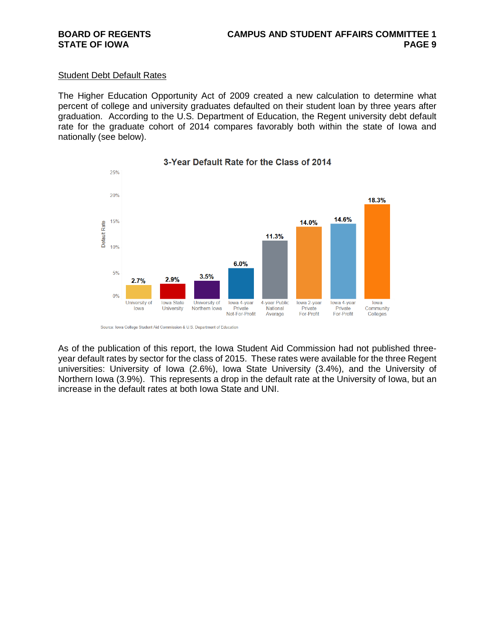#### Student Debt Default Rates

The Higher Education Opportunity Act of 2009 created a new calculation to determine what percent of college and university graduates defaulted on their student loan by three years after graduation. According to the U.S. Department of Education, the Regent university debt default rate for the graduate cohort of 2014 compares favorably both within the state of Iowa and nationally (see below).



### 3-Year Default Rate for the Class of 2014

As of the publication of this report, the Iowa Student Aid Commission had not published threeyear default rates by sector for the class of 2015. These rates were available for the three Regent universities: University of Iowa (2.6%), Iowa State University (3.4%), and the University of Northern Iowa (3.9%). This represents a drop in the default rate at the University of Iowa, but an increase in the default rates at both Iowa State and UNI.

Source: Iowa College Student Aid Commission & U.S. Department of Education